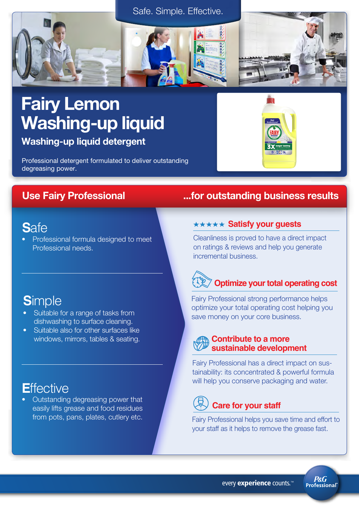



### Fairy Lemon Washing-up liquid

Washing-up liquid detergent

Professional detergent formulated to deliver outstanding degreasing power.

### **S**afe

• Professional formula designed to meet Professional needs.

### **S**imple

- Suitable for a range of tasks from dishwashing to surface cleaning.
- Suitable also for other surfaces like windows, mirrors, tables & seating.

### **E**ffective

• Outstanding degreasing power that easily lifts grease and food residues from pots, pans, plates, cutlery etc.

### Use Fairy Professional ...for outstanding business results

#### **\*\*\*\*\* Satisfy your guests**

Cleanliness is proved to have a direct impact on ratings & reviews and help you generate incremental business.

## **Optimize your total operating cost**

Fairy Professional strong performance helps optimize your total operating cost helping you save money on your core business.

### **Contribute to a more sustainable development**

Fairy Professional has a direct impact on sustainability: its concentrated & powerful formula will help you conserve packaging and water.

### **Care for your staff**

Fairy Professional helps you save time and effort to your staff as it helps to remove the grease fast.

> **P&G Professional**